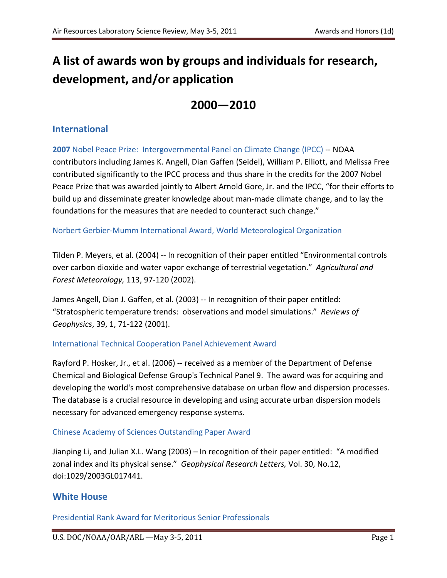# **A list of awards won by groups and individuals for research, development, and/or application**

# **2000—2010**

# **International**

**2007** Nobel Peace Prize: Intergovernmental Panel on Climate Change (IPCC) -- NOAA contributors including James K. Angell, Dian Gaffen (Seidel), William P. Elliott, and Melissa Free contributed significantly to the IPCC process and thus share in the credits for the 2007 Nobel Peace Prize that was awarded jointly to Albert Arnold Gore, Jr. and the IPCC, "for their efforts to build up and disseminate greater knowledge about man-made climate change, and to lay the foundations for the measures that are needed to counteract such change."

## Norbert Gerbier-Mumm International Award, World Meteorological Organization

Tilden P. Meyers, et al. (2004) -- In recognition of their paper entitled "Environmental controls over carbon dioxide and water vapor exchange of terrestrial vegetation." *Agricultural and Forest Meteorology,* 113, 97-120 (2002).

James Angell, Dian J. Gaffen, et al. (2003) -- In recognition of their paper entitled: "Stratospheric temperature trends: observations and model simulations." *Reviews of Geophysics*, 39, 1, 71-122 (2001).

## International Technical Cooperation Panel Achievement Award

Rayford P. Hosker, Jr., et al. (2006) -- received as a member of the Department of Defense Chemical and Biological Defense Group's Technical Panel 9. The award was for acquiring and developing the world's most comprehensive database on urban flow and dispersion processes. The database is a crucial resource in developing and using accurate urban dispersion models necessary for advanced emergency response systems.

## Chinese Academy of Sciences Outstanding Paper Award

Jianping Li, and Julian X.L. Wang (2003) – In recognition of their paper entitled: "A modified zonal index and its physical sense." *Geophysical Research Letters,* Vol. 30, No.12, doi:1029/2003GL017441.

# **White House**

Presidential Rank Award for Meritorious Senior Professionals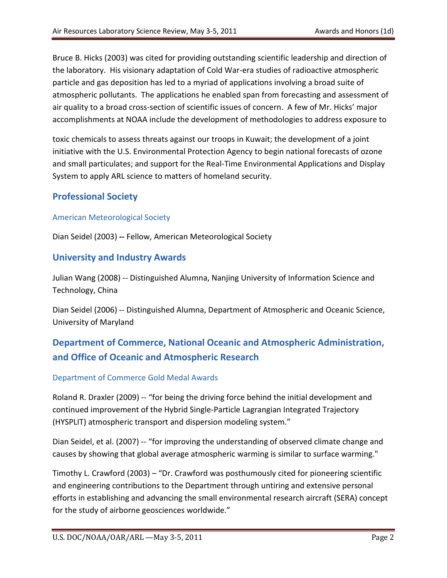Bruce B. Hicks (2003) was cited for providing outstanding scientific leadership and direction of the laboratory. His visionary adaptation of Cold War-era studies of radioactive atmospheric particle and gas deposition has led to a myriad of applications involving a broad suite of atmospheric pollutants. The applications he enabled span from forecasting and assessment of air quality to a broad cross-section of scientific issues of concern. A few of Mr. Hicks' major accomplishments at NOAA include the development of methodologies to address exposure to

toxic chemicals to assess threats against our troops in Kuwait; the development of a joint initiative with the U.S. Environmental Protection Agency to begin national forecasts of ozone and small particulates; and support for the Real-Time Environmental Applications and Display System to apply ARL science to matters of homeland security.

# **Professional Society**

#### American Meteorological Society

Dian Seidel (2003) **--** Fellow, American Meteorological Society

## **University and Industry Awards**

Julian Wang (2008) -- Distinguished Alumna, Nanjing University of Information Science and Technology, China

Dian Seidel (2006) -- Distinguished Alumna, Department of Atmospheric and Oceanic Science, University of Maryland

# **Department of Commerce, National Oceanic and Atmospheric Administration, and Office of Oceanic and Atmospheric Research**

#### Department of Commerce Gold Medal Awards

Roland R. Draxler (2009) -- "for being the driving force behind the initial development and continued improvement of the Hybrid Single-Particle Lagrangian Integrated Trajectory (HYSPLIT) atmospheric transport and dispersion modeling system."

Dian Seidel, et al. (2007) -- "for improving the understanding of observed climate change and causes by showing that global average atmospheric warming is similar to surface warming."

Timothy L. Crawford (2003) – "Dr. Crawford was posthumously cited for pioneering scientific and engineering contributions to the Department through untiring and extensive personal efforts in establishing and advancing the small environmental research aircraft (SERA) concept for the study of airborne geosciences worldwide."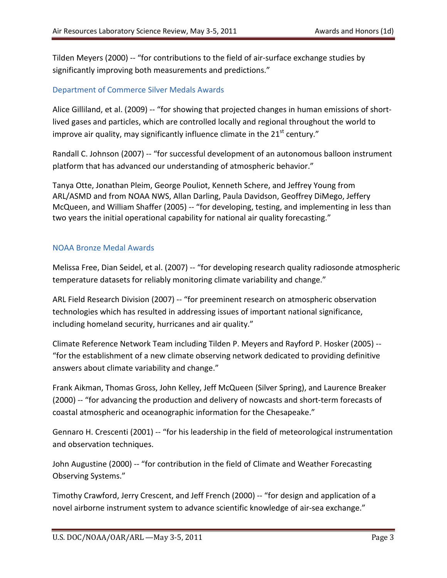Tilden Meyers (2000) -- "for contributions to the field of air-surface exchange studies by significantly improving both measurements and predictions."

#### Department of Commerce Silver Medals Awards

Alice Gilliland, et al. (2009) -- "for showing that projected changes in human emissions of shortlived gases and particles, which are controlled locally and regional throughout the world to improve air quality, may significantly influence climate in the  $21<sup>st</sup>$  century."

Randall C. Johnson (2007) -- "for successful development of an autonomous balloon instrument platform that has advanced our understanding of atmospheric behavior."

Tanya Otte, Jonathan Pleim, George Pouliot, Kenneth Schere, and Jeffrey Young from ARL/ASMD and from NOAA NWS, Allan Darling, Paula Davidson, Geoffrey DiMego, Jeffery McQueen, and William Shaffer (2005) -- "for developing, testing, and implementing in less than two years the initial operational capability for national air quality forecasting."

#### NOAA Bronze Medal Awards

Melissa Free, Dian Seidel, et al. (2007) -- "for developing research quality radiosonde atmospheric temperature datasets for reliably monitoring climate variability and change."

ARL Field Research Division (2007) -- "for preeminent research on atmospheric observation technologies which has resulted in addressing issues of important national significance, including homeland security, hurricanes and air quality."

Climate Reference Network Team including Tilden P. Meyers and Rayford P. Hosker (2005) -- "for the establishment of a new climate observing network dedicated to providing definitive answers about climate variability and change."

Frank Aikman, Thomas Gross, John Kelley, Jeff McQueen (Silver Spring), and Laurence Breaker (2000) -- "for advancing the production and delivery of nowcasts and short-term forecasts of coastal atmospheric and oceanographic information for the Chesapeake."

Gennaro H. Crescenti (2001) -- "for his leadership in the field of meteorological instrumentation and observation techniques.

John Augustine (2000) -- "for contribution in the field of Climate and Weather Forecasting Observing Systems."

Timothy Crawford, Jerry Crescent, and Jeff French (2000) -- "for design and application of a novel airborne instrument system to advance scientific knowledge of air-sea exchange."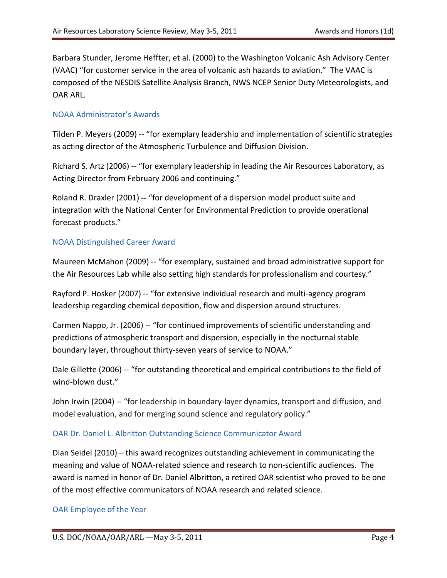Barbara Stunder, Jerome Heffter, et al. (2000) to the Washington Volcanic Ash Advisory Center (VAAC) "for customer service in the area of volcanic ash hazards to aviation." The VAAC is composed of the NESDIS Satellite Analysis Branch, NWS NCEP Senior Duty Meteorologists, and OAR ARL.

#### NOAA Administrator's Awards

Tilden P. Meyers (2009) -- "for exemplary leadership and implementation of scientific strategies as acting director of the Atmospheric Turbulence and Diffusion Division.

Richard S. Artz (2006) -- "for exemplary leadership in leading the Air Resources Laboratory, as Acting Director from February 2006 and continuing."

Roland R. Draxler (2001) **--** "for development of a dispersion model product suite and integration with the National Center for Environmental Prediction to provide operational forecast products."

#### NOAA Distinguished Career Award

Maureen McMahon (2009) -- "for exemplary, sustained and broad administrative support for the Air Resources Lab while also setting high standards for professionalism and courtesy."

Rayford P. Hosker (2007) -- "for extensive individual research and multi-agency program leadership regarding chemical deposition, flow and dispersion around structures.

Carmen Nappo, Jr. (2006) -- "for continued improvements of scientific understanding and predictions of atmospheric transport and dispersion, especially in the nocturnal stable boundary layer, throughout thirty-seven years of service to NOAA."

Dale Gillette (2006) -- "for outstanding theoretical and empirical contributions to the field of wind-blown dust."

John Irwin (2004) -- "for leadership in boundary-layer dynamics, transport and diffusion, and model evaluation, and for merging sound science and regulatory policy."

#### OAR Dr. Daniel L. Albritton Outstanding Science Communicator Award

Dian Seidel (2010) – this award recognizes outstanding achievement in communicating the meaning and value of NOAA-related science and research to non-scientific audiences. The award is named in honor of Dr. Daniel Albritton, a retired OAR scientist who proved to be one of the most effective communicators of NOAA research and related science.

#### OAR Employee of the Year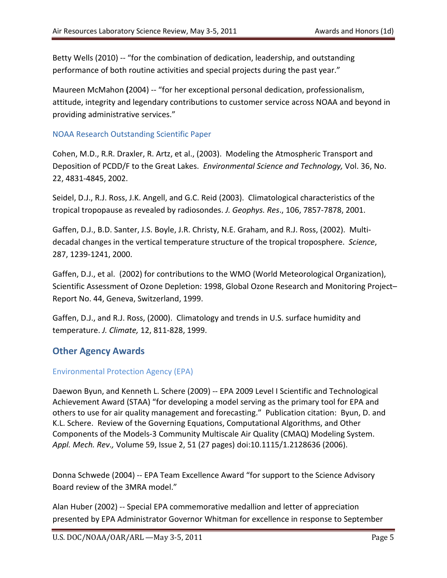Betty Wells (2010) -- "for the combination of dedication, leadership, and outstanding performance of both routine activities and special projects during the past year."

Maureen McMahon **(**2004) -- "for her exceptional personal dedication, professionalism, attitude, integrity and legendary contributions to customer service across NOAA and beyond in providing administrative services."

#### NOAA Research Outstanding Scientific Paper

Cohen, M.D., R.R. Draxler, R. Artz, et al., (2003).Modeling the Atmospheric Transport and Deposition of PCDD/F to the Great Lakes. *Environmental Science and Technology,* Vol. 36, No. 22, 4831-4845, 2002.

Seidel, D.J., R.J. Ross, J.K. Angell, and G.C. Reid (2003). Climatological characteristics of the tropical tropopause as revealed by radiosondes. *J. Geophys. Res*., 106, 7857-7878, 2001.

Gaffen, D.J., B.D. Santer, J.S. Boyle, J.R. Christy, N.E. Graham, and R.J. Ross, (2002). Multidecadal changes in the vertical temperature structure of the tropical troposphere. *Science*, 287, 1239-1241, 2000.

Gaffen, D.J., et al. (2002) for contributions to the WMO (World Meteorological Organization), Scientific Assessment of Ozone Depletion: 1998, Global Ozone Research and Monitoring Project– Report No. 44, Geneva, Switzerland, 1999.

Gaffen, D.J., and R.J. Ross, (2000). Climatology and trends in U.S. surface humidity and temperature. *J. Climate,* 12, 811-828, 1999.

# **Other Agency Awards**

## Environmental Protection Agency (EPA)

Daewon Byun, and Kenneth L. Schere (2009) -- EPA 2009 Level I Scientific and Technological Achievement Award (STAA) "for developing a model serving as the primary tool for EPA and others to use for air quality management and forecasting." Publication citation: Byun, D. and K.L. Schere. Review of the Governing Equations, Computational Algorithms, and Other Components of the Models-3 Community Multiscale Air Quality (CMAQ) Modeling System. *Appl. Mech. Rev.,* Volume 59, Issue 2, 51 (27 pages) doi:10.1115/1.2128636 (2006).

Donna Schwede (2004) -- EPA Team Excellence Award "for support to the Science Advisory Board review of the 3MRA model."

Alan Huber (2002) -- Special EPA commemorative medallion and letter of appreciation presented by EPA Administrator Governor Whitman for excellence in response to September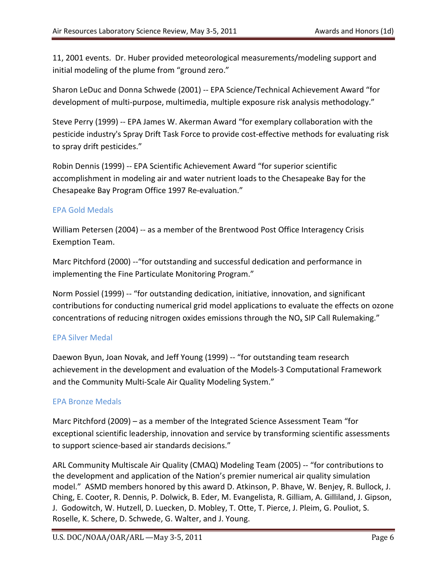11, 2001 events. Dr. Huber provided meteorological measurements/modeling support and initial modeling of the plume from "ground zero."

Sharon LeDuc and Donna Schwede (2001) -- EPA Science/Technical Achievement Award "for development of multi-purpose, multimedia, multiple exposure risk analysis methodology."

Steve Perry (1999) -- EPA James W. Akerman Award "for exemplary collaboration with the pesticide industry's Spray Drift Task Force to provide cost-effective methods for evaluating risk to spray drift pesticides."

Robin Dennis (1999) -- EPA Scientific Achievement Award "for superior scientific accomplishment in modeling air and water nutrient loads to the Chesapeake Bay for the Chesapeake Bay Program Office 1997 Re-evaluation."

#### EPA Gold Medals

William Petersen (2004) -- as a member of the Brentwood Post Office Interagency Crisis Exemption Team.

Marc Pitchford (2000) --"for outstanding and successful dedication and performance in implementing the Fine Particulate Monitoring Program."

Norm Possiel (1999) -- "for outstanding dedication, initiative, innovation, and significant contributions for conducting numerical grid model applications to evaluate the effects on ozone concentrations of reducing nitrogen oxides emissions through the NO<sub>x</sub> SIP Call Rulemaking."

#### EPA Silver Medal

Daewon Byun, Joan Novak, and Jeff Young (1999) -- "for outstanding team research achievement in the development and evaluation of the Models-3 Computational Framework and the Community Multi-Scale Air Quality Modeling System."

#### EPA Bronze Medals

Marc Pitchford (2009) – as a member of the Integrated Science Assessment Team "for exceptional scientific leadership, innovation and service by transforming scientific assessments to support science-based air standards decisions."

ARL Community Multiscale Air Quality (CMAQ) Modeling Team (2005) -- "for contributions to the development and application of the Nation's premier numerical air quality simulation model." ASMD members honored by this award D. Atkinson, P. Bhave, W. Benjey, R. Bullock, J. Ching, E. Cooter, R. Dennis, P. Dolwick, B. Eder, M. Evangelista, R. Gilliam, A. Gilliland, J. Gipson, J. Godowitch, W. Hutzell, D. Luecken, D. Mobley, T. Otte, T. Pierce, J. Pleim, G. Pouliot, S. Roselle, K. Schere, D. Schwede, G. Walter, and J. Young.